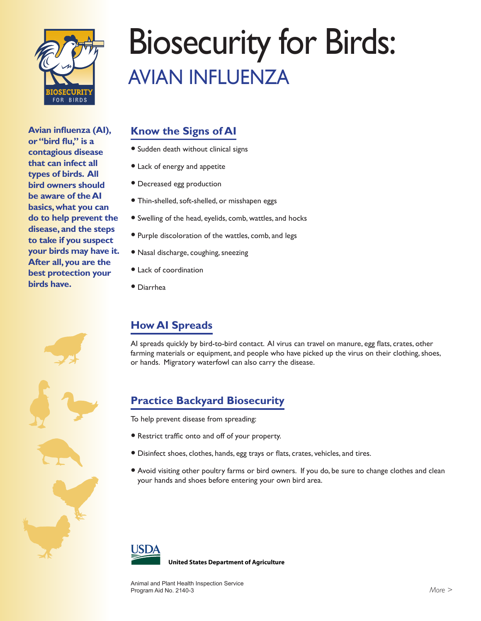

**Avian influenza (AI), or "bird flu," is a contagious disease that can infect all types of birds. All bird owners should be aware of the AI basics, what you can do to help prevent the disease, and the steps to take if you suspect your birds may have it. After all, you are the best protection your birds have.**



# Biosecurity for Birds: AVIAN INFLUENZA

### **Know the Signs of AI**

- Sudden death without clinical signs
- Lack of energy and appetite
- Decreased egg production
- Thin-shelled, soft-shelled, or misshapen eggs
- Swelling of the head, eyelids, comb, wattles, and hocks
- Purple discoloration of the wattles, comb, and legs
- Nasal discharge, coughing, sneezing
- Lack of coordination
- Diarrhea

## **How AI Spreads**

AI spreads quickly by bird-to-bird contact. AI virus can travel on manure, egg flats, crates, other farming materials or equipment, and people who have picked up the virus on their clothing, shoes, or hands. Migratory waterfowl can also carry the disease.

## **Practice Backyard Biosecurity**

To help prevent disease from spreading:

- Restrict traffic onto and off of your property.
- Disinfect shoes, clothes, hands, egg trays or flats, crates, vehicles, and tires.
- Avoid visiting other poultry farms or bird owners. If you do, be sure to change clothes and clean your hands and shoes before entering your own bird area.



**United States Department of Agriculture**

Animal and Plant Health Inspection Service Program Aid No. 2140-3